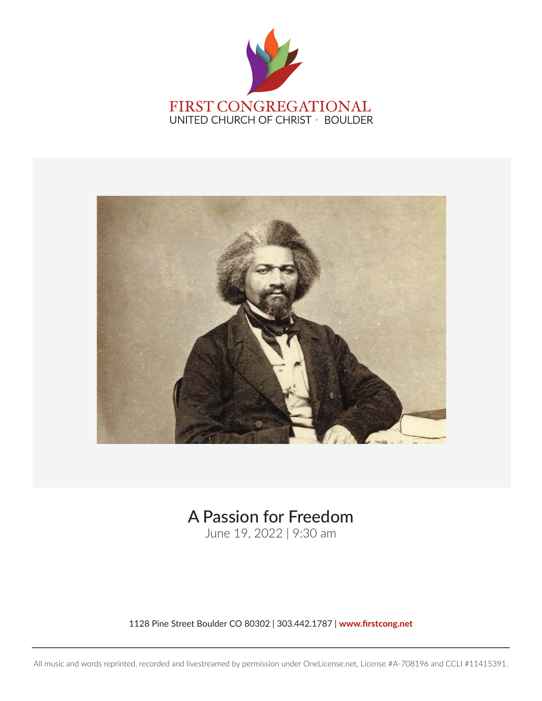



# A Passion for Freedom

June 19, 2022 | 9:30 am

1128 Pine Street Boulder CO 80302 | 303.442.1787 | [www.firstcong.net](http://www.firstcong.net)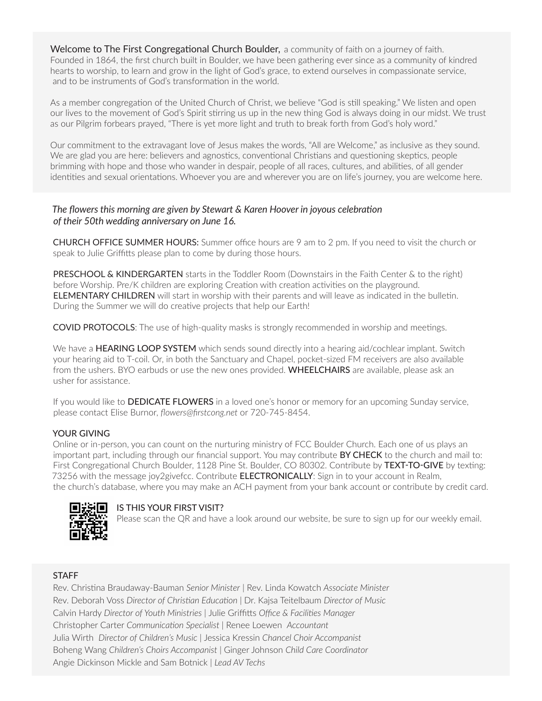Welcome to The First Congregational Church Boulder, a community of faith on a journey of faith. Founded in 1864, the first church built in Boulder, we have been gathering ever since as a community of kindred hearts to worship, to learn and grow in the light of God's grace, to extend ourselves in compassionate service, and to be instruments of God's transformation in the world.

As a member congregation of the United Church of Christ, we believe "God is still speaking." We listen and open our lives to the movement of God's Spirit stirring us up in the new thing God is always doing in our midst. We trust as our Pilgrim forbears prayed, "There is yet more light and truth to break forth from God's holy word."

Our commitment to the extravagant love of Jesus makes the words, "All are Welcome," as inclusive as they sound. We are glad you are here: believers and agnostics, conventional Christians and questioning skeptics, people brimming with hope and those who wander in despair, people of all races, cultures, and abilities, of all gender identities and sexual orientations. Whoever you are and wherever you are on life's journey, you are welcome here.

#### *The flowers this morning are given by Stewart & Karen Hoover in joyous celebration of their 50th wedding anniversary on June 16.*

CHURCH OFFICE SUMMER HOURS: Summer office hours are 9 am to 2 pm. If you need to visit the church or speak to Julie Griffitts please plan to come by during those hours.

PRESCHOOL & KINDERGARTEN starts in the Toddler Room (Downstairs in the Faith Center & to the right) before Worship. Pre/K children are exploring Creation with creation activities on the playground. ELEMENTARY CHILDREN will start in worship with their parents and will leave as indicated in the bulletin. During the Summer we will do creative projects that help our Earth!

COVID PROTOCOLS: The use of high-quality masks is strongly recommended in worship and meetings.

We have a HEARING LOOP SYSTEM which sends sound directly into a hearing aid/cochlear implant. Switch your hearing aid to T-coil. Or, in both the Sanctuary and Chapel, pocket-sized FM receivers are also available from the ushers. BYO earbuds or use the new ones provided. WHEELCHAIRS are available, please ask an usher for assistance.

If you would like to **DEDICATE FLOWERS** in a loved one's honor or memory for an upcoming Sunday service, please contact Elise Burnor, *[flowers@firstcong.net](mailto:flowers@firstcong.net)* or 720-745-8454.

#### YOUR GIVING

Online or in-person, you can count on the nurturing ministry of FCC Boulder Church. Each one of us plays an important part, including through our financial support. You may contribute BY CHECK to the church and mail to: First Congregational Church Boulder, 1128 Pine St. Boulder, CO 80302. Contribute by TEXT-TO-GIVE by texting: 73256 with the message joy2givefcc. Contribute **ELECTRONICALLY**: Sign in to your account in Realm, the church's database, where you may make an ACH payment from your bank account or contribute by credit card.



#### $\blacksquare$  $\vdots$   $\blacksquare$  IS THIS YOUR FIRST VISIT?

Please scan the QR and have a look around our website, be sure to sign up for our weekly email.

#### **STAFF**

Rev. Christina Braudaway-Bauman *Senior Minister* | Rev. Linda Kowatch *Associate Minister* Rev. Deborah Voss *Director of Christian Education |* Dr. Kajsa Teitelbaum *Director of Music* Calvin Hardy *Director of Youth Ministries |* Julie Griffitts *Office & Facilities Manager* Christopher Carter *Communication Specialist |* Renee Loewen *Accountant* Julia Wirth *Director of Children's Music |* Jessica Kressin *Chancel Choir Accompanist* Boheng Wang *Children's Choirs Accompanist |* Ginger Johnson *Child Care Coordinator* Angie Dickinson Mickle and Sam Botnick *| Lead AV Techs*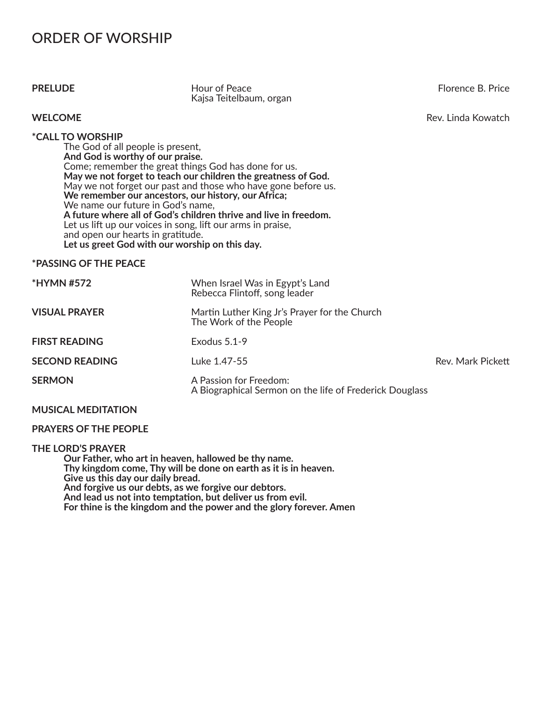## ORDER OF WORSHIP

**PRELUDE Hour of Peace Hour of Peace Florence B. Price Florence B. Price** Kajsa Teitelbaum, organ

#### **WELCOME** Rev. Linda Kowatch

#### **\*CALL TO WORSHIP**

The God of all people is present, **And God is worthy of our praise.** Come; remember the great things God has done for us. **May we not forget to teach our children the greatness of God.** May we not forget our past and those who have gone before us. **We remember our ancestors, our history, our Africa;**  We name our future in God's name, **A future where all of God's children thrive and live in freedom.** Let us lift up our voices in song, lift our arms in praise, and open our hearts in gratitude. **Let us greet God with our worship on this day.** 

#### **\*PASSING OF THE PEACE**

| <b>*HYMN #572</b>     | When Israel Was in Egypt's Land<br>Rebecca Flintoff, song leader                  |                   |
|-----------------------|-----------------------------------------------------------------------------------|-------------------|
| <b>VISUAL PRAYER</b>  | Martin Luther King Jr's Prayer for the Church<br>The Work of the People           |                   |
| <b>FIRST READING</b>  | Exodus $5.1-9$                                                                    |                   |
| <b>SECOND READING</b> | Luke 1.47-55                                                                      | Rev. Mark Pickett |
| <b>SERMON</b>         | A Passion for Freedom:<br>A Biographical Sermon on the life of Frederick Douglass |                   |

#### **MUSICAL MEDITATION**

#### **PRAYERS OF THE PEOPLE**

#### **THE LORD'S PRAYER**

**Our Father, who art in heaven, hallowed be thy name. Thy kingdom come, Thy will be done on earth as it is in heaven. Give us this day our daily bread. And forgive us our debts, as we forgive our debtors. And lead us not into temptation, but deliver us from evil. For thine is the kingdom and the power and the glory forever. Amen**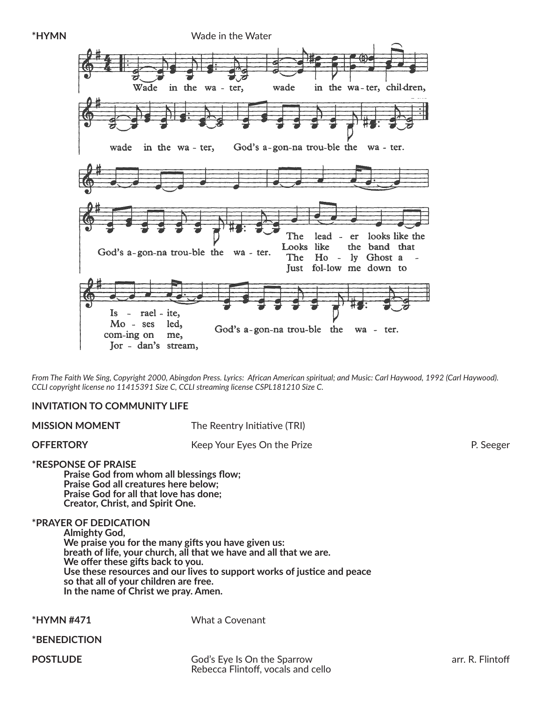**\*HYMN** Wade in the Water in the wa-ter, children, Wade in the wa - ter, wade in the wa - ter, God's a-gon-na trou-ble the wade wa - ter. The looks like the lead er Looks like the band that God's a-gon-na trou-ble the wa - ter. The Ho - ly Ghost a Just fol-low me down to rael - ite. Is.  $\sim$  $Mo - ses$ led, God's a-gon-na trou-ble the wa - ter. com-ing on me, Jor - dan's stream,

*From The Faith We Sing, Copyright 2000, Abingdon Press. Lyrics: African American spiritual; and Music: Carl Haywood, 1992 (Carl Haywood). CCLI copyright license no 11415391 Size C, CCLI streaming license CSPL181210 Size C.* 

#### **INVITATION TO COMMUNITY LIFE**

**MISSION MOMENT** The Reentry Initiative (TRI)

**OFFERTORY** P. Seeger **Reading Struck Constructs** Keep Your Eyes On the Prize **P. Seeger** P. Seeger

**\*RESPONSE OF PRAISE**

 **Praise God from whom all blessings flow; Praise God all creatures here below; Praise God for all that love has done; Creator, Christ, and Spirit One.** 

#### **\*PRAYER OF DEDICATION**

**Almighty God, We praise you for the many gifts you have given us: breath of life, your church, all that we have and all that we are. We offer these gifts back to you. Use these resources and our lives to support works of justice and peace so that all of your children are free. In the name of Christ we pray. Amen.**

**\*HYMN #471** What a Covenant

**\*BENEDICTION**

**POSTLUDE** 

**Postal God's Eye Is On the Sparrow arr. R. Flintoff arr. R. Flintoff arr. R. Flintoff arr. R. Flintoff arr. R. Flintoff arr. R. Flintoff arr. R. Flintoff arr. R. Flintoff arr. R. Flintoff arr. R. Flintoff arr. R. Flintoff** Rebecca Flintoff, vocals and cello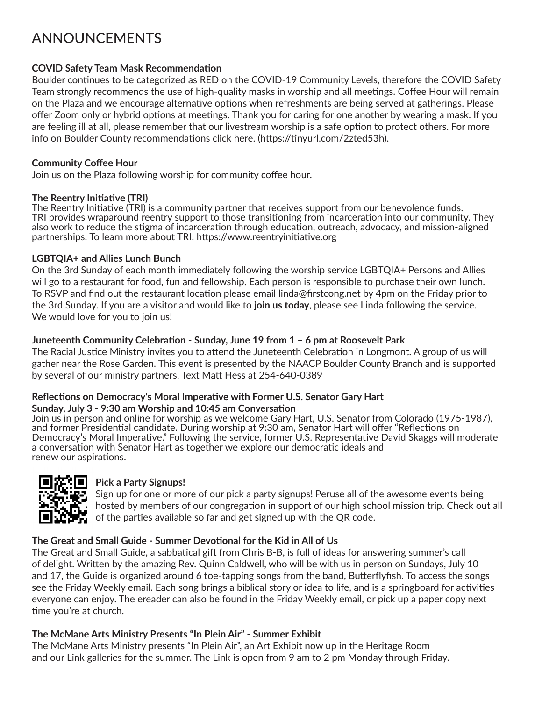## ANNOUNCEMENTS

### **COVID Safety Team Mask Recommendation**

Boulder continues to be categorized as RED on the COVID-19 Community Levels, therefore the COVID Safety Team strongly recommends the use of high-quality masks in worship and all meetings. Coffee Hour will remain on the Plaza and we encourage alternative options when refreshments are being served at gatherings. Please offer Zoom only or hybrid options at meetings. Thank you for caring for one another by wearing a mask. If you are feeling ill at all, please remember that our livestream worship is a safe option to protect others. For more info on Boulder County recommendations click here. [\(https://tinyurl.com/2zted53h\).](https://tinyurl.com/2zted53h)

#### **Community Coffee Hour**

Join us on the Plaza following worship for community coffee hour.

#### **The Reentry Initiative (TRI)**

The Reentry Initiative (TRI) is a community partner that receives support from our benevolence funds. TRI provides wraparound reentry support to those transitioning from incarceration into our community. They also work to reduce the stigma of incarceration through education, outreach, advocacy, and mission-aligned partnerships. To learn more about TRI:<https://www.reentryinitiative.org>

### **LGBTQIA+ and Allies Lunch Bunch**

On the 3rd Sunday of each month immediately following the worship service LGBTQIA+ Persons and Allies will go to a restaurant for food, fun and fellowship. Each person is responsible to purchase their own lunch. To RSVP and find out the restaurant location please email [linda@firstcong.net by](mailto:linda@firstcong.net) 4pm on the Friday prior to the 3rd Sunday. If you are a visitor and would like to **join us today**, please see Linda following the service. We would love for you to join us!

### **Juneteenth Community Celebration - Sunday, June 19 from 1 – 6 pm at Roosevelt Park**

The Racial Justice Ministry invites you to attend the Juneteenth Celebration in Longmont. A group of us will gather near the Rose Garden. This event is presented by the NAACP Boulder County Branch and is supported by several of our ministry partners. Text Matt Hess at 254-640-0389

#### **Reflections on Democracy's Moral Imperative with Former U.S. Senator Gary Hart Sunday, July 3 - 9:30 am Worship and 10:45 am Conversation**

Join us in person and online for worship as we welcome Gary Hart, U.S. Senator from Colorado (1975-1987), and former Presidential candidate. During worship at 9:30 am, Senator Hart will offer "Reflections on Democracy's Moral Imperative." Following the service, former U.S. Representative David Skaggs will moderate a conversation with Senator Hart as together we explore our democratic ideals and renew our aspirations.



## **Pick a Party Signups!**

 Sign up for one or more of our pick a party signups! Peruse all of the awesome events being hosted by members of our congregation in support of our high school mission trip. Check out all  $\blacksquare$  of the parties available so far and get signed up with the QR code.

## **The Great and Small Guide - Summer Devotional for the Kid in All of Us**

The Great and Small Guide, a sabbatical gift from Chris B-B, is full of ideas for answering summer's call of delight. Written by the amazing Rev. Quinn Caldwell, who will be with us in person on Sundays, July 10 and 17, the Guide is organized around 6 toe-tapping songs from the band, Butterflyfish. To access the songs see the Friday Weekly email. Each song brings a biblical story or idea to life, and is a springboard for activities everyone can enjoy. The ereader can also be found in the Friday Weekly email, or pick up a paper copy next time you're at church.

## **The McMane Arts Ministry Presents "In Plein Air" - Summer Exhibit**

The McMane Arts Ministry presents "In Plein Air", an Art Exhibit now up in the Heritage Room and our Link galleries for the summer. The Link is open from 9 am to 2 pm Monday through Friday.